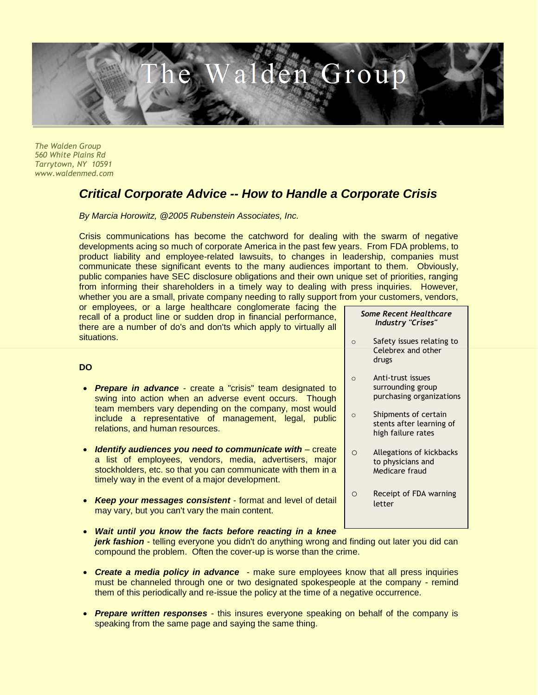

*The Walden Group 560 White Plains Rd Tarrytown, NY 10591 www.waldenmed.com*

**DO**

## *Critical Corporate Advice -- How to Handle a Corporate Crisis*

*By Marcia Horowitz, @2005 Rubenstein Associates, Inc.*

Crisis communications has become the catchword for dealing with the swarm of negative developments acing so much of corporate America in the past few years. From FDA problems, to product liability and employee-related lawsuits, to changes in leadership, companies must communicate these significant events to the many audiences important to them. Obviously, public companies have SEC disclosure obligations and their own unique set of priorities, ranging from informing their shareholders in a timely way to dealing with press inquiries. However, whether you are a small, private company needing to rally support from your customers, vendors,

or employees, or a large healthcare conglomerate facing the recall of a product line or sudden drop in financial performance, there are a number of do's and don'ts which apply to virtually all situations.

## *Some Recent Healthcare Industry "Crises"*

- o Safety issues relating to Celebrex and other drugs
- o Anti-trust issues surrounding group purchasing organizations
- o Shipments of certain stents after learning of high failure rates
- o Allegations of kickbacks to physicians and Medicare fraud
- o Receipt of FDA warning letter
- *Prepare in advance* create a "crisis" team designated to swing into action when an adverse event occurs. Though team members vary depending on the company, most would include a representative of management, legal, public relations, and human resources.
- *Identify audiences you need to communicate with* create a list of employees, vendors, media, advertisers, major stockholders, etc. so that you can communicate with them in a timely way in the event of a major development.
- *Keep your messages consistent* format and level of detail may vary, but you can't vary the main content.

## *Wait until you know the facts before reacting in a knee*

- *jerk fashion* telling everyone you didn't do anything wrong and finding out later you did can compound the problem. Often the cover-up is worse than the crime.
- *Create a media policy in advance* make sure employees know that all press inquiries must be channeled through one or two designated spokespeople at the company - remind them of this periodically and re-issue the policy at the time of a negative occurrence.
- *Prepare written responses* this insures everyone speaking on behalf of the company is speaking from the same page and saying the same thing.